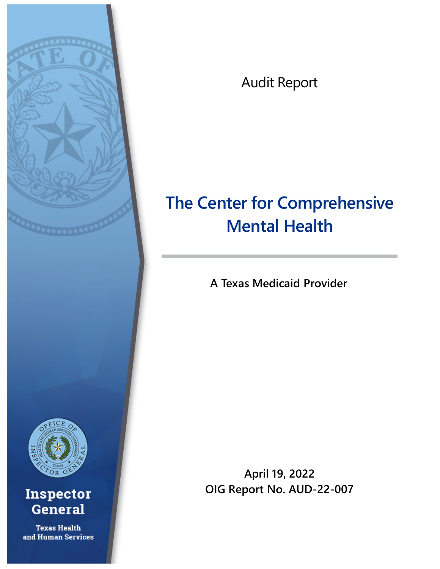

Audit Report

# **The Center for Comprehensive Mental Health**

**A Texas Medicaid Provider** 

**April 19, 2022 OIG Report No. AUD-22-007**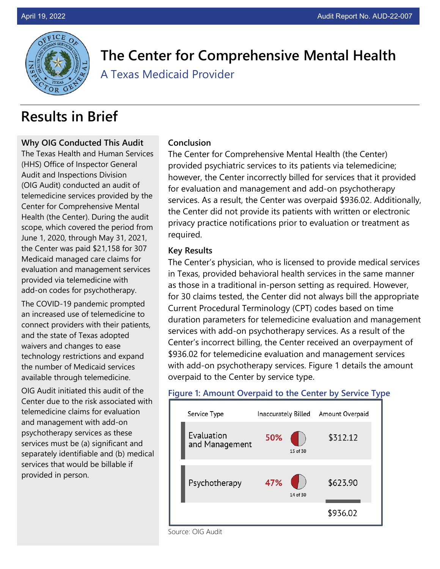

**The Center for Comprehensive Mental Health**

A Texas Medicaid Provider

# **Results in Brief**

#### **Why OIG Conducted This Audit**

The Texas Health and Human Services (HHS) Office of Inspector General Audit and Inspections Division (OIG Audit) conducted an audit of telemedicine services provided by the Center for Comprehensive Mental Health (the Center). During the audit scope, which covered the period from June 1, 2020, through May 31, 2021, the Center was paid \$21,158 for 307 Medicaid managed care claims for evaluation and management services provided via telemedicine with add-on codes for psychotherapy.

The COVID-19 pandemic prompted an increased use of telemedicine to connect providers with their patients, and the state of Texas adopted waivers and changes to ease technology restrictions and expand the number of Medicaid services available through telemedicine.

OIG Audit initiated this audit of the Center due to the risk associated with telemedicine claims for evaluation and management with add-on psychotherapy services as these services must be (a) significant and separately identifiable and (b) medical services that would be billable if provided in person.

#### **Conclusion**

The Center for Comprehensive Mental Health (the Center) provided psychiatric services to its patients via telemedicine; however, the Center incorrectly billed for services that it provided for evaluation and management and add-on psychotherapy services. As a result, the Center was overpaid \$936.02. Additionally, the Center did not provide its patients with written or electronic privacy practice notifications prior to evaluation or treatment as required.

#### **Key Results**

The Center's physician, who is licensed to provide medical services in Texas, provided behavioral health services in the same manner as those in a traditional in-person setting as required. However, for 30 claims tested, the Center did not always bill the appropriate Current Procedural Terminology (CPT) codes based on time duration parameters for telemedicine evaluation and management services with add-on psychotherapy services. As a result of the Center's incorrect billing, the Center received an overpayment of \$936.02 for telemedicine evaluation and management services with add-on psychotherapy services. Figure 1 details the amount overpaid to the Center by service type.

#### **Figure 1: Amount Overpaid to the Center by Service Type**



Source: OIG Audit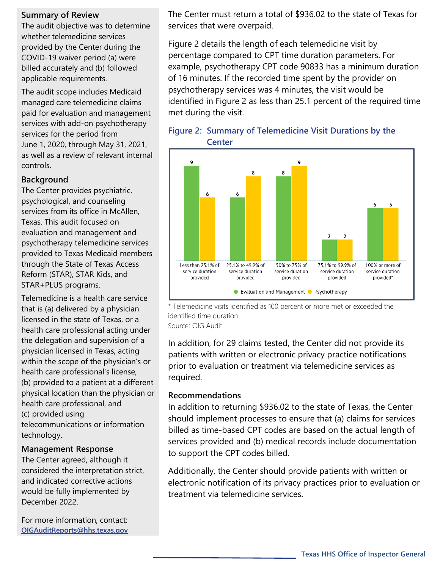#### **Summary of Review**

The audit objective was to determine whether telemedicine services provided by the Center during the COVID-19 waiver period (a) were billed accurately and (b) followed applicable requirements.

The audit scope includes Medicaid managed care telemedicine claims paid for evaluation and management services with add-on psychotherapy services for the period from June 1, 2020, through May 31, 2021, as well as a review of relevant internal controls.

#### **Background**

The Center provides psychiatric, psychological, and counseling services from its office in McAllen, Texas. This audit focused on evaluation and management and psychotherapy telemedicine services provided to Texas Medicaid members through the State of Texas Access Reform (STAR), STAR Kids, and STAR+PLUS programs.

Telemedicine is a health care service that is (a) delivered by a physician licensed in the state of Texas, or a health care professional acting under the delegation and supervision of a physician licensed in Texas, acting within the scope of the physician's or health care professional's license, (b) provided to a patient at a different physical location than the physician or health care professional, and (c) provided using telecommunications or information technology.

#### **Management Response**

The Center agreed, although it considered the interpretation strict, and indicated corrective actions would be fully implemented by December 2022.

For more information, contact: **[OIGAuditReports@hhs.texas.gov](mailto:OIGAuditReports@hhs.texas.gov)** 

The Center must return a total of \$936.02 to the state of Texas for services that were overpaid.

Figure 2 details the length of each telemedicine visit by percentage compared to CPT time duration parameters. For example, psychotherapy CPT code 90833 has a minimum duration of 16 minutes. If the recorded time spent by the provider on psychotherapy services was 4 minutes, the visit would be identified in Figure 2 as less than 25.1 percent of the required time met during the visit.





\* Telemedicine visits identified as 100 percent or more met or exceeded the identified time duration. Source: OIG Audit

In addition, for 29 claims tested, the Center did not provide its patients with written or electronic privacy practice notifications prior to evaluation or treatment via telemedicine services as required.

#### **Recommendations**

In addition to returning \$936.02 to the state of Texas, the Center should implement processes to ensure that (a) claims for services billed as time-based CPT codes are based on the actual length of services provided and (b) medical records include documentation to support the CPT codes billed.

Additionally, the Center should provide patients with written or electronic notification of its privacy practices prior to evaluation or treatment via telemedicine services.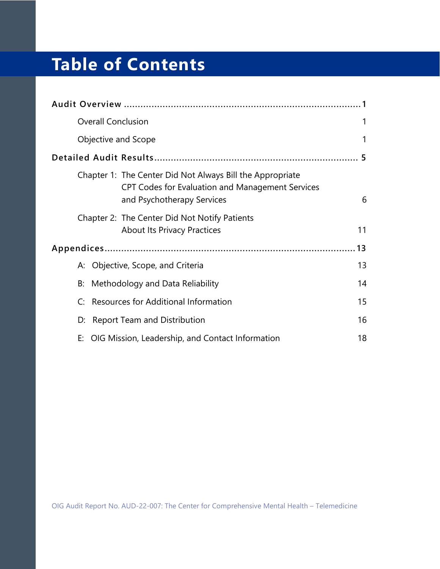# **Table of Contents**

| <b>Overall Conclusion</b>                                                                                                                          | 1  |
|----------------------------------------------------------------------------------------------------------------------------------------------------|----|
| Objective and Scope                                                                                                                                | 1  |
|                                                                                                                                                    |    |
| Chapter 1: The Center Did Not Always Bill the Appropriate<br><b>CPT Codes for Evaluation and Management Services</b><br>and Psychotherapy Services | 6  |
| Chapter 2: The Center Did Not Notify Patients<br><b>About Its Privacy Practices</b>                                                                | 11 |
|                                                                                                                                                    | 13 |
| A: Objective, Scope, and Criteria                                                                                                                  | 13 |
| Methodology and Data Reliability<br>B:                                                                                                             | 14 |
| C: Resources for Additional Information                                                                                                            | 15 |
| <b>Report Team and Distribution</b><br>D:                                                                                                          | 16 |
| E: OIG Mission, Leadership, and Contact Information                                                                                                | 18 |

OIG Audit Report No. AUD-22-007: The Center for Comprehensive Mental Health – Telemedicine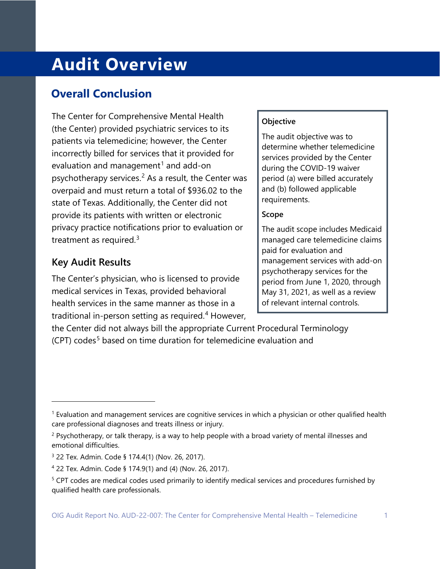# <span id="page-4-0"></span>**Audit Overview**

## <span id="page-4-1"></span>**Overall Conclusion**

<span id="page-4-2"></span>The Center for Comprehensive Mental Health (the Center) provided psychiatric services to its patients via telemedicine; however, the Center incorrectly billed for services that it provided for evaluation and management<sup>[1](#page-4-3)</sup> and add-on psychotherapy services.<sup>[2](#page-4-4)</sup> As a result, the Center was overpaid and must return a total of \$936.02 to the state of Texas. Additionally, the Center did not provide its patients with written or electronic privacy practice notifications prior to evaluation or treatment as required.<sup>[3](#page-4-5)</sup>

## **Key Audit Results**

The Center's physician, who is licensed to provide medical services in Texas, provided behavioral health services in the same manner as those in a traditional in-person setting as required. [4](#page-4-6) However,

#### **Objective**

The audit objective was to determine whether telemedicine services provided by the Center during the COVID-19 waiver period (a) were billed accurately and (b) followed applicable requirements.

#### **Scope**

The audit scope includes Medicaid managed care telemedicine claims paid for evaluation and management services with add-on psychotherapy services for the period from June 1, 2020, through May 31, 2021, as well as a review of relevant internal controls.

the Center did not always bill the appropriate Current Procedural Terminology  $(CPT)$  codes<sup>[5](#page-4-7)</sup> based on time duration for telemedicine evaluation and

<span id="page-4-3"></span><sup>&</sup>lt;sup>1</sup> Evaluation and management services are cognitive services in which a physician or other qualified health care professional diagnoses and treats illness or injury.

<span id="page-4-4"></span><sup>&</sup>lt;sup>2</sup> Psychotherapy, or talk therapy, is a way to help people with a broad variety of mental illnesses and emotional difficulties.

<span id="page-4-5"></span><sup>3</sup> 22 Tex. Admin. Code § 174.4(1) (Nov. 26, 2017).

<span id="page-4-6"></span><sup>4</sup> 22 Tex. Admin. Code § 174.9(1) and (4) (Nov. 26, 2017).

<span id="page-4-7"></span><sup>5</sup> CPT codes are medical codes used primarily to identify medical services and procedures furnished by qualified health care professionals.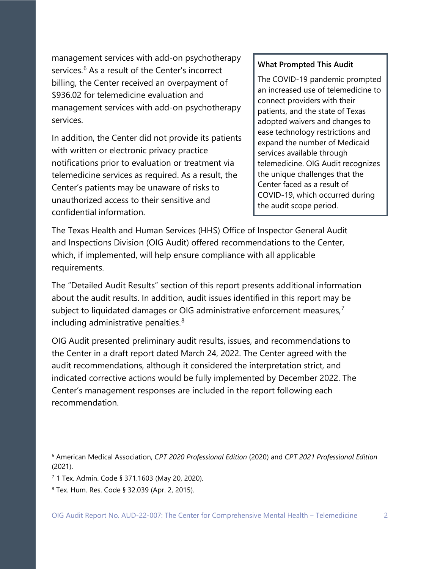management services with add-on psychotherapy services.<sup>[6](#page-5-0)</sup> As a result of the Center's incorrect billing, the Center received an overpayment of \$936.02 for telemedicine evaluation and management services with add-on psychotherapy services.

In addition, the Center did not provide its patients with written or electronic privacy practice notifications prior to evaluation or treatment via telemedicine services as required. As a result, the Center's patients may be unaware of risks to unauthorized access to their sensitive and confidential information.

#### **What Prompted This Audit**

The COVID-19 pandemic prompted an increased use of telemedicine to connect providers with their patients, and the state of Texas adopted waivers and changes to ease technology restrictions and expand the number of Medicaid services available through telemedicine. OIG Audit recognizes the unique challenges that the Center faced as a result of COVID-19, which occurred during the audit scope period.

The Texas Health and Human Services (HHS) Office of Inspector General Audit and Inspections Division (OIG Audit) offered recommendations to the Center, which, if implemented, will help ensure compliance with all applicable requirements.

The "Detailed Audit Results" section of this report presents additional information about the audit results. In addition, audit issues identified in this report may be subject to liquidated damages or OIG administrative enforcement measures,<sup>[7](#page-5-1)</sup> including administrative penalties.<sup>[8](#page-5-2)</sup>

OIG Audit presented preliminary audit results, issues, and recommendations to the Center in a draft report dated March 24, 2022. The Center agreed with the audit recommendations, although it considered the interpretation strict, and indicated corrective actions would be fully implemented by December 2022. The Center's management responses are included in the report following each recommendation.

<span id="page-5-0"></span><sup>6</sup> American Medical Association, *CPT 2020 Professional Edition* (2020) and *CPT 2021 Professional Edition* (2021).

<span id="page-5-1"></span><sup>7</sup> 1 Tex. Admin. Code § 371.1603 (May 20, 2020).

<span id="page-5-2"></span><sup>8</sup> Tex. Hum. Res. Code § 32.039 (Apr. 2, 2015).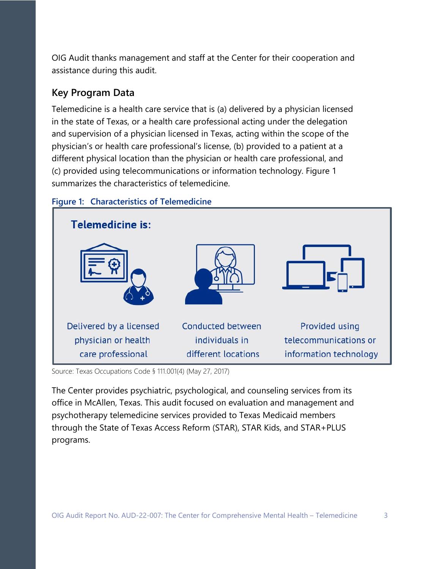OIG Audit thanks management and staff at the Center for their cooperation and assistance during this audit.

## **Key Program Data**

Telemedicine is a health care service that is (a) delivered by a physician licensed in the state of Texas, or a health care professional acting under the delegation and supervision of a physician licensed in Texas, acting within the scope of the physician's or health care professional's license, (b) provided to a patient at a different physical location than the physician or health care professional, and (c) provided using telecommunications or information technology. Figure 1 summarizes the characteristics of telemedicine.



#### **Figure 1: Characteristics of Telemedicine**

Source: Texas Occupations Code § 111.001(4) (May 27, 2017)

The Center provides psychiatric, psychological, and counseling services from its office in McAllen, Texas. This audit focused on evaluation and management and psychotherapy telemedicine services provided to Texas Medicaid members through the State of Texas Access Reform (STAR), STAR Kids, and STAR+PLUS programs.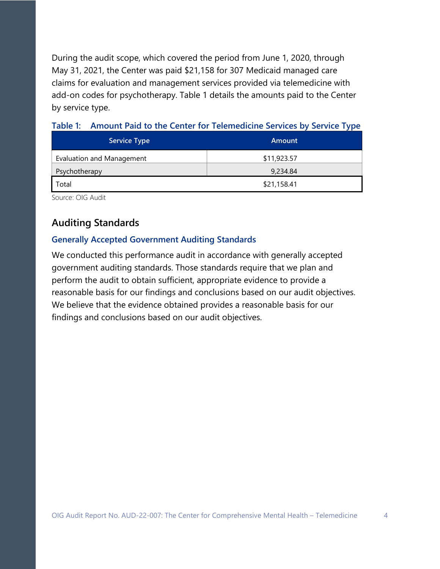During the audit scope, which covered the period from June 1, 2020, through May 31, 2021, the Center was paid \$21,158 for 307 Medicaid managed care claims for evaluation and management services provided via telemedicine with add-on codes for psychotherapy. Table 1 details the amounts paid to the Center by service type.

| <b>Service Type</b>              | <b>Amount</b> |
|----------------------------------|---------------|
| <b>Evaluation and Management</b> | \$11,923.57   |
| Psychotherapy                    | 9,234.84      |
| Total                            | \$21,158.41   |

#### **Table 1: Amount Paid to the Center for Telemedicine Services by Service Type**

Source: OIG Audit

## **Auditing Standards**

#### **Generally Accepted Government Auditing Standards**

We conducted this performance audit in accordance with generally accepted government auditing standards. Those standards require that we plan and perform the audit to obtain sufficient, appropriate evidence to provide a reasonable basis for our findings and conclusions based on our audit objectives. We believe that the evidence obtained provides a reasonable basis for our findings and conclusions based on our audit objectives.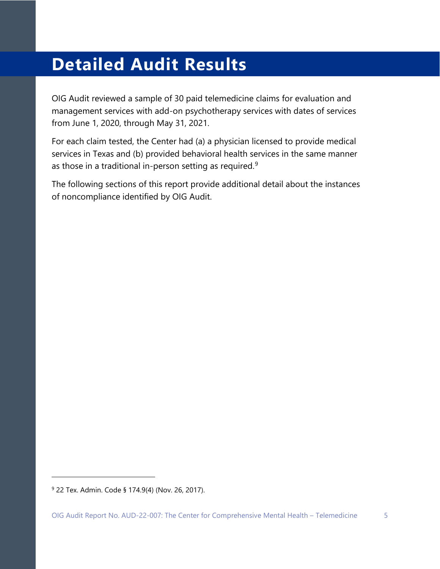# <span id="page-8-0"></span>**Detailed Audit Results**

OIG Audit reviewed a sample of 30 paid telemedicine claims for evaluation and management services with add-on psychotherapy services with dates of services from June 1, 2020, through May 31, 2021.

For each claim tested, the Center had (a) a physician licensed to provide medical services in Texas and (b) provided behavioral health services in the same manner as those in a traditional in-person setting as required. $^9$  $^9$ 

The following sections of this report provide additional detail about the instances of noncompliance identified by OIG Audit.

<span id="page-8-1"></span><sup>9</sup> 22 Tex. Admin. Code § 174.9(4) (Nov. 26, 2017).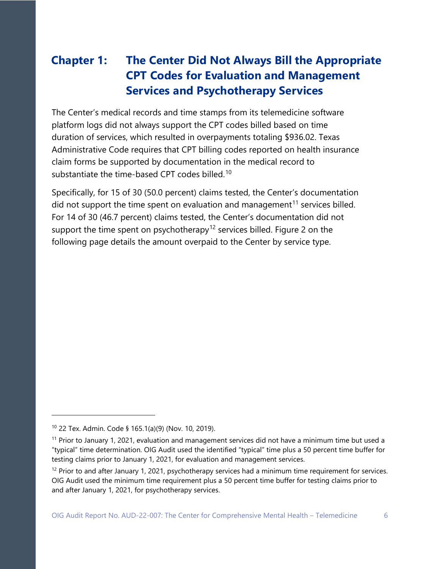# <span id="page-9-0"></span>**Chapter 1: The Center Did Not Always Bill the Appropriate CPT Codes for Evaluation and Management Services and Psychotherapy Services**

The Center's medical records and time stamps from its telemedicine software platform logs did not always support the CPT codes billed based on time duration of services, which resulted in overpayments totaling \$936.02. Texas Administrative Code requires that CPT billing codes reported on health insurance claim forms be supported by documentation in the medical record to substantiate the time-based CPT codes billed.<sup>[10](#page-9-1)</sup>

Specifically, for 15 of 30 (50.0 percent) claims tested, the Center's documentation did not support the time spent on evaluation and management<sup>[11](#page-9-2)</sup> services billed. For 14 of 30 (46.7 percent) claims tested, the Center's documentation did not support the time spent on psychotherapy<sup>[12](#page-9-3)</sup> services billed. Figure 2 on the following page details the amount overpaid to the Center by service type.

<span id="page-9-1"></span><sup>10</sup> 22 Tex. Admin. Code § 165.1(a)(9) (Nov. 10, 2019).

<span id="page-9-2"></span><sup>&</sup>lt;sup>11</sup> Prior to January 1, 2021, evaluation and management services did not have a minimum time but used a "typical" time determination. OIG Audit used the identified "typical" time plus a 50 percent time buffer for testing claims prior to January 1, 2021, for evaluation and management services.

<span id="page-9-3"></span><sup>&</sup>lt;sup>12</sup> Prior to and after January 1, 2021, psychotherapy services had a minimum time requirement for services. OIG Audit used the minimum time requirement plus a 50 percent time buffer for testing claims prior to and after January 1, 2021, for psychotherapy services.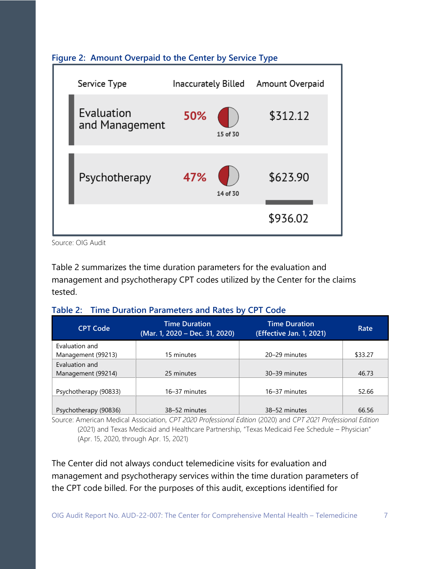

### **Figure 2: Amount Overpaid to the Center by Service Type**

Source: OIG Audit

Table 2 summarizes the time duration parameters for the evaluation and management and psychotherapy CPT codes utilized by the Center for the claims tested.

|  | Table 2: Time Duration Parameters and Rates by CPT Code |  |  |
|--|---------------------------------------------------------|--|--|
|--|---------------------------------------------------------|--|--|

| <b>CPT Code</b>                      | <b>Time Duration</b><br>(Mar. 1, 2020 - Dec. 31, 2020) | Time Duration<br>(Effective Jan. 1, 2021) | Rate    |
|--------------------------------------|--------------------------------------------------------|-------------------------------------------|---------|
| Evaluation and<br>Management (99213) | 15 minutes                                             | 20-29 minutes                             | \$33.27 |
| Evaluation and<br>Management (99214) | 25 minutes                                             | 30-39 minutes                             | 46.73   |
| Psychotherapy (90833)                | 16-37 minutes                                          | 16-37 minutes                             | 52.66   |
| Psychotherapy (90836)                | 38-52 minutes                                          | 38-52 minutes                             | 66.56   |

Source: American Medical Association, *CPT 2020 Professional Edition* (2020) and *CPT 2021 Professional Edition* (2021) and Texas Medicaid and Healthcare Partnership, "Texas Medicaid Fee Schedule – Physician" (Apr. 15, 2020, through Apr. 15, 2021)

The Center did not always conduct telemedicine visits for evaluation and management and psychotherapy services within the time duration parameters of the CPT code billed. For the purposes of this audit, exceptions identified for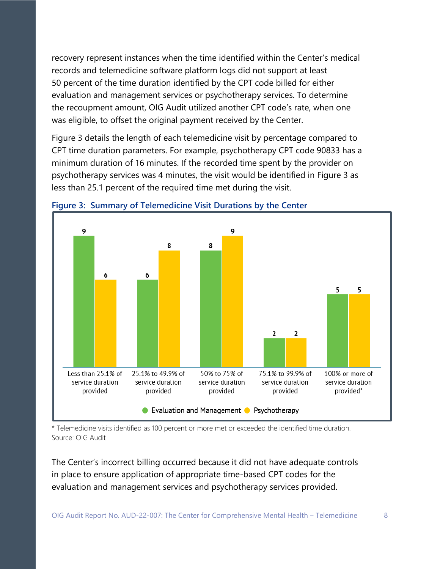recovery represent instances when the time identified within the Center's medical records and telemedicine software platform logs did not support at least 50 percent of the time duration identified by the CPT code billed for either evaluation and management services or psychotherapy services. To determine the recoupment amount, OIG Audit utilized another CPT code's rate, when one was eligible, to offset the original payment received by the Center.

Figure 3 details the length of each telemedicine visit by percentage compared to CPT time duration parameters. For example, psychotherapy CPT code 90833 has a minimum duration of 16 minutes. If the recorded time spent by the provider on psychotherapy services was 4 minutes, the visit would be identified in Figure 3 as less than 25.1 percent of the required time met during the visit.



**Figure 3: Summary of Telemedicine Visit Durations by the Center**

\* Telemedicine visits identified as 100 percent or more met or exceeded the identified time duration. Source: OIG Audit

The Center's incorrect billing occurred because it did not have adequate controls in place to ensure application of appropriate time-based CPT codes for the evaluation and management services and psychotherapy services provided.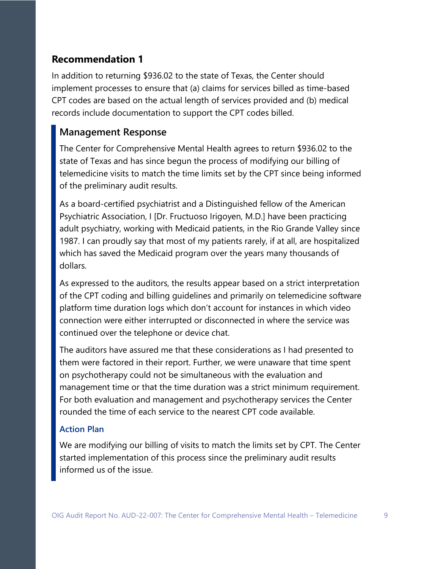## **Recommendation 1**

In addition to returning \$936.02 to the state of Texas, the Center should implement processes to ensure that (a) claims for services billed as time-based CPT codes are based on the actual length of services provided and (b) medical records include documentation to support the CPT codes billed.

## **Management Response**

The Center for Comprehensive Mental Health agrees to return \$936.02 to the state of Texas and has since begun the process of modifying our billing of telemedicine visits to match the time limits set by the CPT since being informed of the preliminary audit results.

As a board-certified psychiatrist and a Distinguished fellow of the American Psychiatric Association, I [Dr. Fructuoso Irigoyen, M.D.] have been practicing adult psychiatry, working with Medicaid patients, in the Rio Grande Valley since 1987. I can proudly say that most of my patients rarely, if at all, are hospitalized which has saved the Medicaid program over the years many thousands of dollars.

As expressed to the auditors, the results appear based on a strict interpretation of the CPT coding and billing guidelines and primarily on telemedicine software platform time duration logs which don't account for instances in which video connection were either interrupted or disconnected in where the service was continued over the telephone or device chat.

The auditors have assured me that these considerations as I had presented to them were factored in their report. Further, we were unaware that time spent on psychotherapy could not be simultaneous with the evaluation and management time or that the time duration was a strict minimum requirement. For both evaluation and management and psychotherapy services the Center rounded the time of each service to the nearest CPT code available.

#### **Action Plan**

We are modifying our billing of visits to match the limits set by CPT. The Center started implementation of this process since the preliminary audit results informed us of the issue.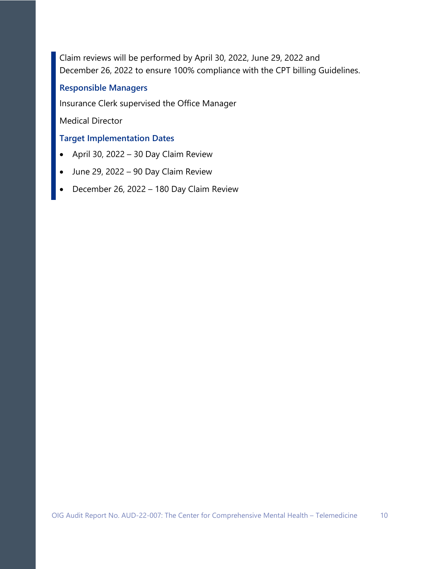Claim reviews will be performed by April 30, 2022, June 29, 2022 and December 26, 2022 to ensure 100% compliance with the CPT billing Guidelines.

#### **Responsible Managers**

Insurance Clerk supervised the Office Manager

Medical Director

## **Target Implementation Dates**

- April 30, 2022 30 Day Claim Review
- June 29, 2022 90 Day Claim Review
- December 26, 2022 180 Day Claim Review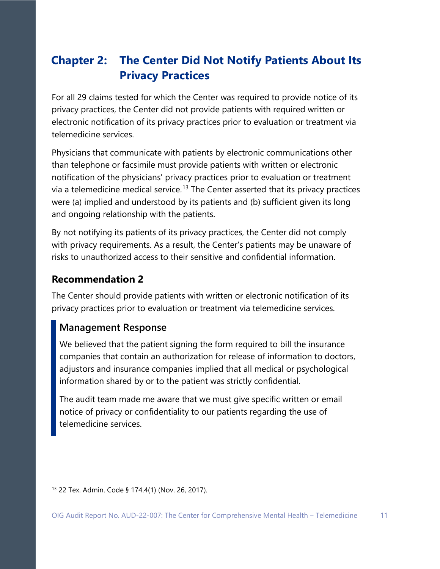## <span id="page-14-0"></span>**Chapter 2: The Center Did Not Notify Patients About Its Privacy Practices**

For all 29 claims tested for which the Center was required to provide notice of its privacy practices, the Center did not provide patients with required written or electronic notification of its privacy practices prior to evaluation or treatment via telemedicine services.

Physicians that communicate with patients by electronic communications other than telephone or facsimile must provide patients with written or electronic notification of the physicians' privacy practices prior to evaluation or treatment via a telemedicine medical service.<sup>[13](#page-14-1)</sup> The Center asserted that its privacy practices were (a) implied and understood by its patients and (b) sufficient given its long and ongoing relationship with the patients.

By not notifying its patients of its privacy practices, the Center did not comply with privacy requirements. As a result, the Center's patients may be unaware of risks to unauthorized access to their sensitive and confidential information.

### **Recommendation 2**

The Center should provide patients with written or electronic notification of its privacy practices prior to evaluation or treatment via telemedicine services.

### **Management Response**

We believed that the patient signing the form required to bill the insurance companies that contain an authorization for release of information to doctors, adjustors and insurance companies implied that all medical or psychological information shared by or to the patient was strictly confidential.

The audit team made me aware that we must give specific written or email notice of privacy or confidentiality to our patients regarding the use of telemedicine services.

<span id="page-14-1"></span><sup>13</sup> 22 Tex. Admin. Code § 174.4(1) (Nov. 26, 2017).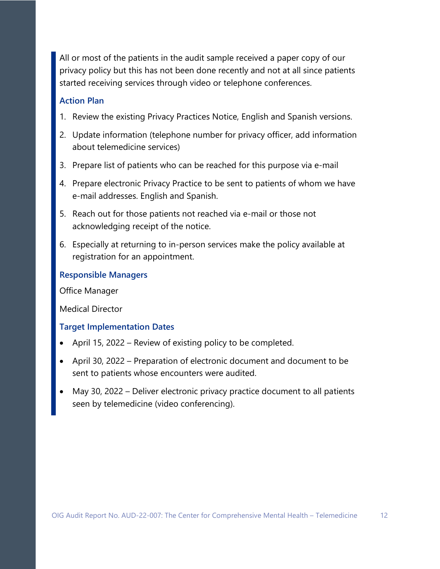All or most of the patients in the audit sample received a paper copy of our privacy policy but this has not been done recently and not at all since patients started receiving services through video or telephone conferences.

#### **Action Plan**

- 1. Review the existing Privacy Practices Notice, English and Spanish versions.
- 2. Update information (telephone number for privacy officer, add information about telemedicine services)
- 3. Prepare list of patients who can be reached for this purpose via e-mail
- 4. Prepare electronic Privacy Practice to be sent to patients of whom we have e-mail addresses. English and Spanish.
- 5. Reach out for those patients not reached via e-mail or those not acknowledging receipt of the notice.
- 6. Especially at returning to in-person services make the policy available at registration for an appointment.

#### **Responsible Managers**

Office Manager

Medical Director

#### **Target Implementation Dates**

- April 15, 2022 Review of existing policy to be completed.
- April 30, 2022 Preparation of electronic document and document to be sent to patients whose encounters were audited.
- May 30, 2022 Deliver electronic privacy practice document to all patients seen by telemedicine (video conferencing).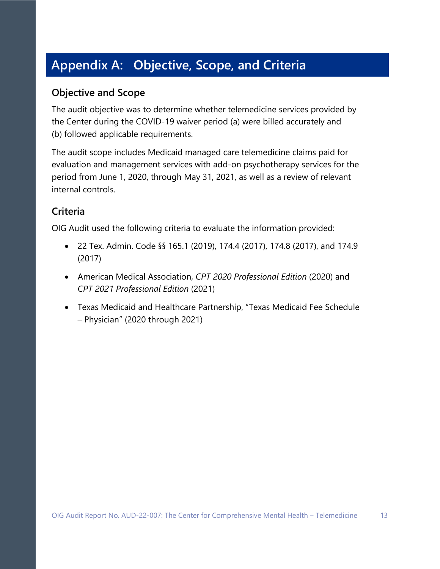# <span id="page-16-1"></span><span id="page-16-0"></span>**Appendix A: Objective, Scope, and Criteria**

## **Objective and Scope**

The audit objective was to determine whether telemedicine services provided by the Center during the COVID-19 waiver period (a) were billed accurately and (b) followed applicable requirements.

The audit scope includes Medicaid managed care telemedicine claims paid for evaluation and management services with add-on psychotherapy services for the period from June 1, 2020, through May 31, 2021, as well as a review of relevant internal controls.

## **Criteria**

OIG Audit used the following criteria to evaluate the information provided:

- 22 Tex. Admin. Code §§ 165.1 (2019), 174.4 (2017), 174.8 (2017), and 174.9 (2017)
- American Medical Association, *CPT 2020 Professional Edition* (2020) and *CPT 2021 Professional Edition* (2021)
- Texas Medicaid and Healthcare Partnership, "Texas Medicaid Fee Schedule – Physician" (2020 through 2021)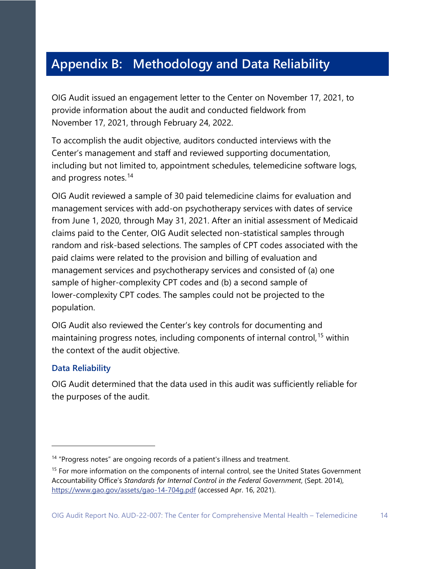# <span id="page-17-0"></span>**Appendix B: Methodology and Data Reliability**

OIG Audit issued an engagement letter to the Center on November 17, 2021, to provide information about the audit and conducted fieldwork from November 17, 2021, through February 24, 2022.

To accomplish the audit objective, auditors conducted interviews with the Center's management and staff and reviewed supporting documentation, including but not limited to, appointment schedules, telemedicine software logs, and progress notes.<sup>[14](#page-17-1)</sup>

OIG Audit reviewed a sample of 30 paid telemedicine claims for evaluation and management services with add-on psychotherapy services with dates of service from June 1, 2020, through May 31, 2021. After an initial assessment of Medicaid claims paid to the Center, OIG Audit selected non-statistical samples through random and risk-based selections. The samples of CPT codes associated with the paid claims were related to the provision and billing of evaluation and management services and psychotherapy services and consisted of (a) one sample of higher-complexity CPT codes and (b) a second sample of lower-complexity CPT codes. The samples could not be projected to the population.

OIG Audit also reviewed the Center's key controls for documenting and maintaining progress notes, including components of internal control,<sup>[15](#page-17-2)</sup> within the context of the audit objective.

#### **Data Reliability**

OIG Audit determined that the data used in this audit was sufficiently reliable for the purposes of the audit.

<span id="page-17-1"></span><sup>&</sup>lt;sup>14</sup> "Progress notes" are ongoing records of a patient's illness and treatment.

<span id="page-17-2"></span><sup>&</sup>lt;sup>15</sup> For more information on the components of internal control, see the United States Government Accountability Office's *Standards for Internal Control in the Federal Government*, (Sept. 2014), <https://www.gao.gov/assets/gao-14-704g.pdf> (accessed Apr. 16, 2021).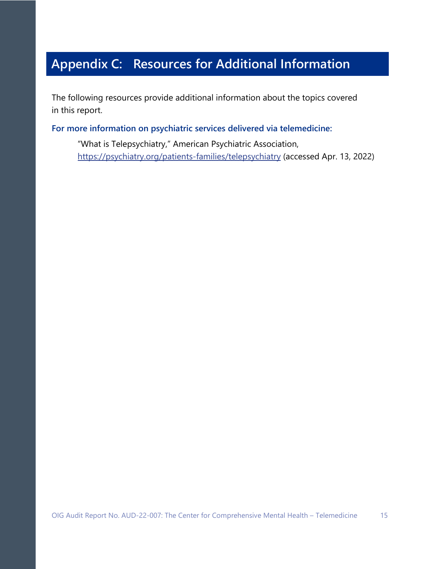# <span id="page-18-0"></span>**Appendix C: Resources for Additional Information**

The following resources provide additional information about the topics covered in this report.

**For more information on psychiatric services delivered via telemedicine:** 

"What is Telepsychiatry," American Psychiatric Association, <https://psychiatry.org/patients-families/telepsychiatry> (accessed Apr. 13, 2022)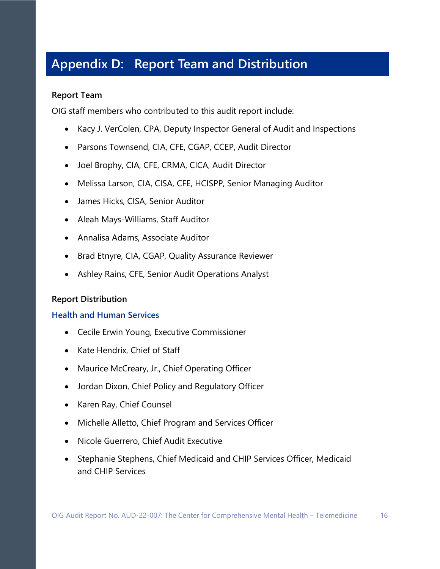# <span id="page-19-0"></span>**Appendix D: Report Team and Distribution**

#### **Report Team**

OIG staff members who contributed to this audit report include:

- Kacy J. VerColen, CPA, Deputy Inspector General of Audit and Inspections
- Parsons Townsend, CIA, CFE, CGAP, CCEP, Audit Director
- Joel Brophy, CIA, CFE, CRMA, CICA, Audit Director
- Melissa Larson, CIA, CISA, CFE, HCISPP, Senior Managing Auditor
- James Hicks, CISA, Senior Auditor
- Aleah Mays-Williams, Staff Auditor
- Annalisa Adams, Associate Auditor
- Brad Etnyre, CIA, CGAP, Quality Assurance Reviewer
- Ashley Rains, CFE, Senior Audit Operations Analyst

#### **Report Distribution**

#### **Health and Human Services**

- Cecile Erwin Young, Executive Commissioner
- Kate Hendrix, Chief of Staff
- Maurice McCreary, Jr., Chief Operating Officer
- Jordan Dixon, Chief Policy and Regulatory Officer
- Karen Ray, Chief Counsel
- Michelle Alletto, Chief Program and Services Officer
- Nicole Guerrero, Chief Audit Executive
- Stephanie Stephens, Chief Medicaid and CHIP Services Officer, Medicaid and CHIP Services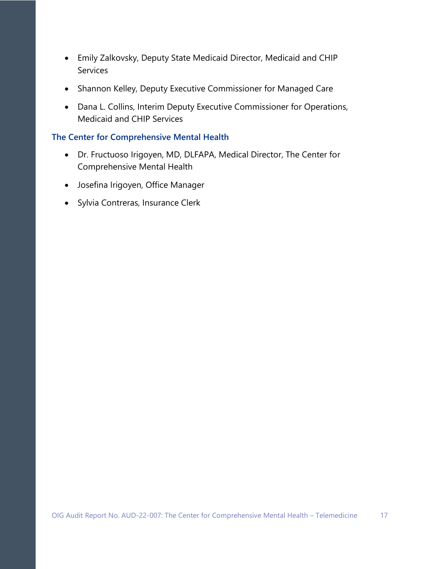- Emily Zalkovsky, Deputy State Medicaid Director, Medicaid and CHIP Services
- Shannon Kelley, Deputy Executive Commissioner for Managed Care
- Dana L. Collins, Interim Deputy Executive Commissioner for Operations, Medicaid and CHIP Services

#### **The Center for Comprehensive Mental Health**

- Dr. Fructuoso Irigoyen, MD, DLFAPA, Medical Director, The Center for Comprehensive Mental Health
- Josefina Irigoyen, Office Manager
- Sylvia Contreras, Insurance Clerk